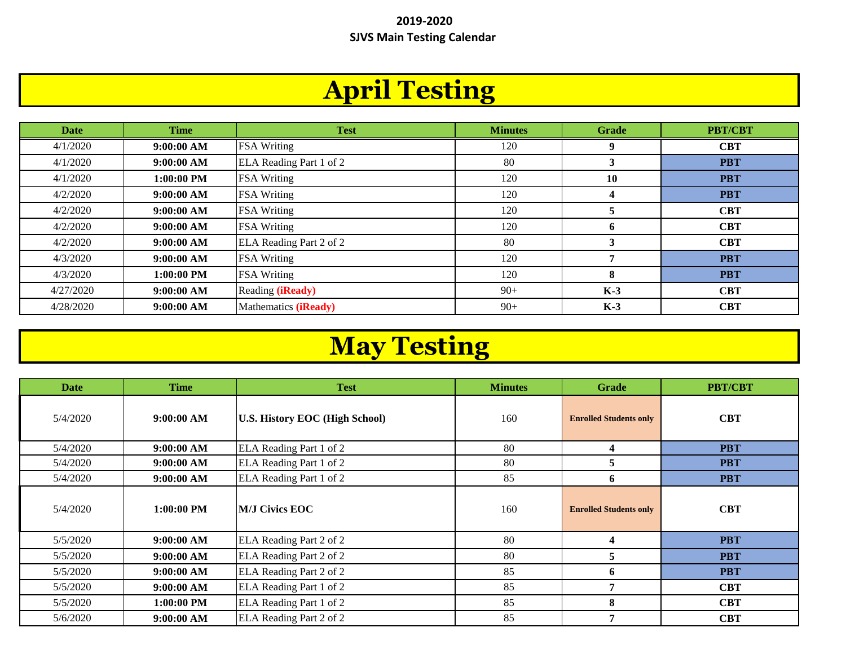#### **2019-2020 SJVS Main Testing Calendar**

### **April Testing**

| <b>Date</b> | <b>Time</b> | <b>Test</b>             | <b>Minutes</b> | Grade          | <b>PBT/CBT</b> |
|-------------|-------------|-------------------------|----------------|----------------|----------------|
| 4/1/2020    | 9:00:00 AM  | <b>FSA Writing</b>      | 120            | 9              | <b>CBT</b>     |
| 4/1/2020    | 9:00:00 AM  | ELA Reading Part 1 of 2 | 80             | 3              | <b>PBT</b>     |
| 4/1/2020    | 1:00:00 PM  | <b>FSA Writing</b>      | 120            | 10             | <b>PBT</b>     |
| 4/2/2020    | 9:00:00 AM  | <b>FSA Writing</b>      | 120            | 4              | <b>PBT</b>     |
| 4/2/2020    | 9:00:00 AM  | <b>FSA Writing</b>      | 120            | $\overline{z}$ | <b>CBT</b>     |
| 4/2/2020    | 9:00:00 AM  | <b>FSA Writing</b>      | 120            | 6              | <b>CBT</b>     |
| 4/2/2020    | 9:00:00 AM  | ELA Reading Part 2 of 2 | 80             | 3              | <b>CBT</b>     |
| 4/3/2020    | 9:00:00 AM  | <b>FSA Writing</b>      | 120            |                | <b>PBT</b>     |
| 4/3/2020    | 1:00:00 PM  | <b>FSA Writing</b>      | 120            | 8              | <b>PBT</b>     |
| 4/27/2020   | 9:00:00 AM  | Reading (iReady)        | $90+$          | $K-3$          | <b>CBT</b>     |
| 4/28/2020   | 9:00:00 AM  | Mathematics (iReady)    | $90+$          | $K-3$          | <b>CBT</b>     |

# **May Testing**

| <b>Date</b> | <b>Time</b>  | <b>Test</b>                           | <b>Minutes</b> | <b>Grade</b>                  | <b>PBT/CBT</b> |
|-------------|--------------|---------------------------------------|----------------|-------------------------------|----------------|
| 5/4/2020    | 9:00:00 AM   | <b>U.S. History EOC (High School)</b> | 160            | <b>Enrolled Students only</b> | <b>CBT</b>     |
| 5/4/2020    | 9:00:00 AM   | ELA Reading Part 1 of 2               | 80             | 4                             | <b>PBT</b>     |
| 5/4/2020    | 9:00:00 AM   | ELA Reading Part 1 of 2               | 80             | 5                             | <b>PBT</b>     |
| 5/4/2020    | 9:00:00 AM   | ELA Reading Part 1 of 2               | 85             | 6                             | <b>PBT</b>     |
| 5/4/2020    | $1:00:00$ PM | <b>M/J Civics EOC</b>                 | 160            | <b>Enrolled Students only</b> | <b>CBT</b>     |
| 5/5/2020    | 9:00:00 AM   | ELA Reading Part 2 of 2               | 80             | $\overline{\mathbf{4}}$       | <b>PBT</b>     |
| 5/5/2020    | 9:00:00 AM   | ELA Reading Part 2 of 2               | 80             | 5                             | <b>PBT</b>     |
| 5/5/2020    | 9:00:00 AM   | ELA Reading Part 2 of 2               | 85             | 6                             | <b>PBT</b>     |
| 5/5/2020    | 9:00:00 AM   | ELA Reading Part 1 of 2               | 85             | $\overline{7}$                | <b>CBT</b>     |
| 5/5/2020    | $1:00:00$ PM | ELA Reading Part 1 of 2               | 85             | 8                             | <b>CBT</b>     |
| 5/6/2020    | 9:00:00 AM   | ELA Reading Part 2 of 2               | 85             | 7                             | <b>CBT</b>     |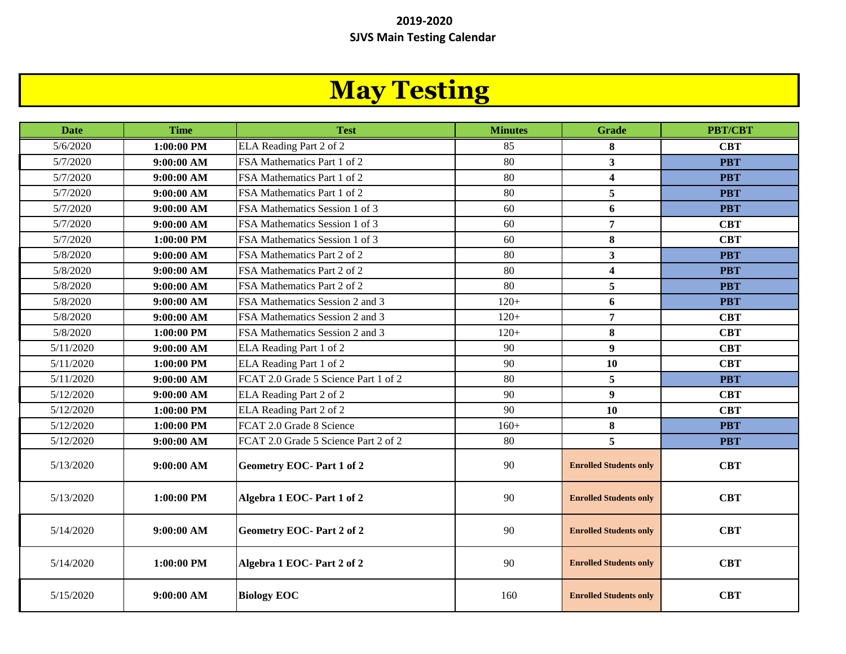#### **2019-2020 SJVS Main Testing Calendar**

## **May Testing**

| <b>Date</b> | <b>Time</b>  | <b>Test</b>                          | <b>Minutes</b> | <b>Grade</b>                  | <b>PBT/CBT</b> |
|-------------|--------------|--------------------------------------|----------------|-------------------------------|----------------|
| 5/6/2020    | 1:00:00 PM   | ELA Reading Part 2 of 2              | 85             | 8                             | <b>CBT</b>     |
| 5/7/2020    | $9:00:00$ AM | FSA Mathematics Part 1 of 2          | 80             | $\mathbf{3}$                  | <b>PBT</b>     |
| 5/7/2020    | 9:00:00 AM   | FSA Mathematics Part 1 of 2          | 80             | $\overline{\mathbf{4}}$       | <b>PBT</b>     |
| 5/7/2020    | 9:00:00 AM   | FSA Mathematics Part 1 of 2          | 80             | 5                             | <b>PBT</b>     |
| 5/7/2020    | 9:00:00 AM   | FSA Mathematics Session 1 of 3       | 60             | 6                             | <b>PBT</b>     |
| 5/7/2020    | 9:00:00 AM   | FSA Mathematics Session 1 of 3       | 60             | $\overline{7}$                | <b>CBT</b>     |
| 5/7/2020    | 1:00:00 PM   | FSA Mathematics Session 1 of 3       | 60             | 8                             | <b>CBT</b>     |
| 5/8/2020    | $9:00:00$ AM | FSA Mathematics Part 2 of 2          | 80             | $\overline{\mathbf{3}}$       | <b>PBT</b>     |
| 5/8/2020    | $9:00:00$ AM | FSA Mathematics Part 2 of 2          | 80             | $\overline{\mathbf{4}}$       | <b>PBT</b>     |
| 5/8/2020    | 9:00:00 AM   | FSA Mathematics Part 2 of 2          | 80             | 5                             | <b>PBT</b>     |
| 5/8/2020    | 9:00:00 AM   | FSA Mathematics Session 2 and 3      | $120+$         | 6                             | <b>PBT</b>     |
| 5/8/2020    | 9:00:00 AM   | FSA Mathematics Session 2 and 3      | $120+$         | 7                             | <b>CBT</b>     |
| 5/8/2020    | 1:00:00 PM   | FSA Mathematics Session 2 and 3      | $120+$         | 8                             | <b>CBT</b>     |
| 5/11/2020   | 9:00:00 AM   | ELA Reading Part 1 of 2              | 90             | $\boldsymbol{9}$              | <b>CBT</b>     |
| 5/11/2020   | 1:00:00 PM   | ELA Reading Part 1 of 2              | 90             | 10                            | <b>CBT</b>     |
| 5/11/2020   | 9:00:00 AM   | FCAT 2.0 Grade 5 Science Part 1 of 2 | 80             | 5                             | <b>PBT</b>     |
| 5/12/2020   | 9:00:00 AM   | ELA Reading Part 2 of 2              | 90             | $\overline{9}$                | <b>CBT</b>     |
| 5/12/2020   | 1:00:00 PM   | ELA Reading Part 2 of 2              | 90             | 10                            | <b>CBT</b>     |
| 5/12/2020   | 1:00:00 PM   | FCAT 2.0 Grade 8 Science             | $160+$         | $\bf{8}$                      | <b>PBT</b>     |
| 5/12/2020   | 9:00:00 AM   | FCAT 2.0 Grade 5 Science Part 2 of 2 | 80             | 5                             | <b>PBT</b>     |
| 5/13/2020   | 9:00:00 AM   | <b>Geometry EOC-Part 1 of 2</b>      | 90             | <b>Enrolled Students only</b> | <b>CBT</b>     |
| 5/13/2020   | 1:00:00 PM   | Algebra 1 EOC-Part 1 of 2            | 90             | <b>Enrolled Students only</b> | <b>CBT</b>     |
| 5/14/2020   | 9:00:00 AM   | <b>Geometry EOC-Part 2 of 2</b>      | 90             | <b>Enrolled Students only</b> | <b>CBT</b>     |
| 5/14/2020   | 1:00:00 PM   | Algebra 1 EOC- Part 2 of 2           | 90             | <b>Enrolled Students only</b> | <b>CBT</b>     |
| 5/15/2020   | 9:00:00 AM   | <b>Biology EOC</b>                   | 160            | <b>Enrolled Students only</b> | <b>CBT</b>     |